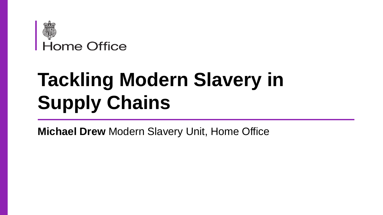

# **Tackling Modern Slavery in Supply Chains**

**Michael Drew** Modern Slavery Unit, Home Office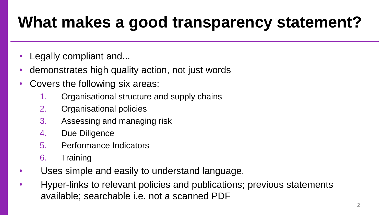## **What makes a good transparency statement?**

- Legally compliant and...
- demonstrates high quality action, not just words
- Covers the following six areas:
	- 1. Organisational structure and supply chains
	- 2. Organisational policies
	- 3. Assessing and managing risk
	- 4. Due Diligence
	- 5. Performance Indicators
	- 6. Training
- Uses simple and easily to understand language.
- Hyper-links to relevant policies and publications; previous statements available; searchable i.e. not a scanned PDF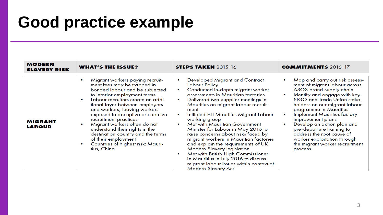### **Good practice example**

| <b>MODERN</b><br><b>SLAVERY RISK</b> | <b>WHAT'S THE ISSUE?</b>                                                                                                                                                                                                                                                                                                                                                                                                                                                               | <b>STEPS TAKEN 2015-16</b>                                                                                                                                                                                                                                                                                                                                                                                                                                                                                                                                                                                                                                                                                                                                | <b>COMMITMENTS</b> 2016-17                                                                                                                                                                                                                                                                                                                                                                                                                                                                             |
|--------------------------------------|----------------------------------------------------------------------------------------------------------------------------------------------------------------------------------------------------------------------------------------------------------------------------------------------------------------------------------------------------------------------------------------------------------------------------------------------------------------------------------------|-----------------------------------------------------------------------------------------------------------------------------------------------------------------------------------------------------------------------------------------------------------------------------------------------------------------------------------------------------------------------------------------------------------------------------------------------------------------------------------------------------------------------------------------------------------------------------------------------------------------------------------------------------------------------------------------------------------------------------------------------------------|--------------------------------------------------------------------------------------------------------------------------------------------------------------------------------------------------------------------------------------------------------------------------------------------------------------------------------------------------------------------------------------------------------------------------------------------------------------------------------------------------------|
| <b>MIGRANT</b><br><b>LABOUR</b>      | Migrant workers paying recruit-<br>ment fees may be trapped in<br>bonded labour and be subjected<br>to inferior employment terms<br>Labour recruiters create an addi-<br>tional layer between employers<br>and workers, leaving workers<br>exposed to deceptive or coercive<br>recruitment practices<br>Migrant workers often do not<br>understand their rights in the<br>destination country and the terms<br>of their employment<br>Countries of highest risk: Mauri-<br>tius, China | <b>Developed Migrant and Contract</b><br>$\bullet$<br>Labour Policy<br>Conducted in-depth migrant worker<br>$\bullet$<br>assessments in Mauritian factories<br>Delivered two-supplier meetings in<br>$\bullet$<br>Mauritius on migrant labour recruit-<br>ment<br>Initiated ETI Mauritius Migrant Labour<br>$\bullet$<br>working group<br><b>Met with Mauritian Government</b><br>$\bullet$<br>Minister for Labour in May 2016 to<br>raise concerns about risks faced by<br>migrant workers in Mauritian factories<br>and explain the requirements of UK<br>Modern Slavery legislation<br>Met with British High Commissioner<br>$\bullet$<br>in Mauritius in July 2016 to discuss<br>migrant labour issues within context of<br><b>Modern Slavery Act</b> | Map and carry out risk assess-<br>$\bullet$<br>ment of migrant labour across<br>ASOS brand supply chain<br>Identify and engage with key<br>$\bullet$<br>NGO and Trade Union stake-<br>holders on our migrant labour<br>programme in Mauritius<br><b>Implement Mauritius factory</b><br>$\bullet$<br>improvement plans<br>Develop an action plan and<br>$\bullet$<br>pre-departure training to<br>address the root cause of<br>worker exploitation through<br>the migrant worker recruitment<br>process |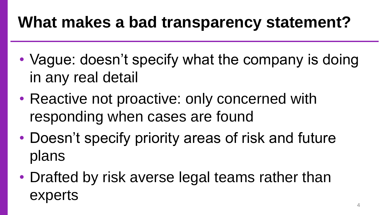### **What makes a bad transparency statement?**

- Vague: doesn't specify what the company is doing in any real detail
- Reactive not proactive: only concerned with responding when cases are found
- Doesn't specify priority areas of risk and future plans
- Drafted by risk averse legal teams rather than experts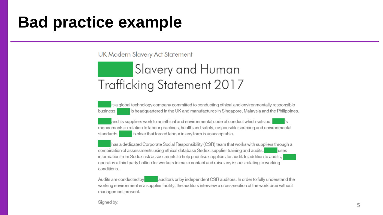#### **Bad practice example**

**UK Modern Slavery Act Statement** 

#### Slavery and Human Trafficking Statement 2017

is a global technology company committed to conducting ethical and environmentally responsible is headquartered in the UK and manufactures in Singapore, Malaysia and the Philippines. business.

and its suppliers work to an ethical and environmental code of conduct which sets out l's requirements in relation to labour practices, health and safety, responsible sourcing and environmental is clear that forced labour in any form is unacceptable. standards.

has a dedicated Corporate Social Responsibility (CSR) team that works with suppliers through a combination of assessments using ethical database Sedex, supplier training and audits. uses information from Sedex risk assessments to help prioritise suppliers for audit. In addition to audits, operates a third party hotline for workers to make contact and raise any issues relating to working conditions.

Audits are conducted by auditors or by independent CSR auditors. In order to fully understand the working environment in a supplier facility, the auditors interview a cross-section of the workforce without management present.

Signed by: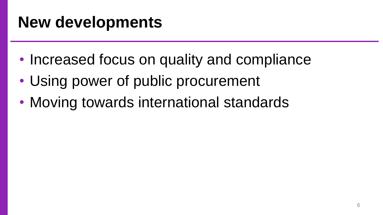### **New developments**

- Increased focus on quality and compliance
- Using power of public procurement
- Moving towards international standards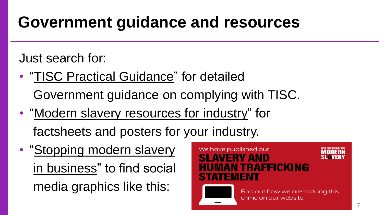### **Government guidance and resources**

Just search for:

- **"TISC Practical Guidance"** for detailed Government guidance on complying with TISC.
- "Modern slavery resources for industry" for factsheets and posters for your industry.
- "Stopping modern slavery in business" to find social media graphics like this:

#### We have published our **SLAVERY AND** *IAN TRAFFICKING* **STATEMENT**



Find out how we are tackling this crime on our website